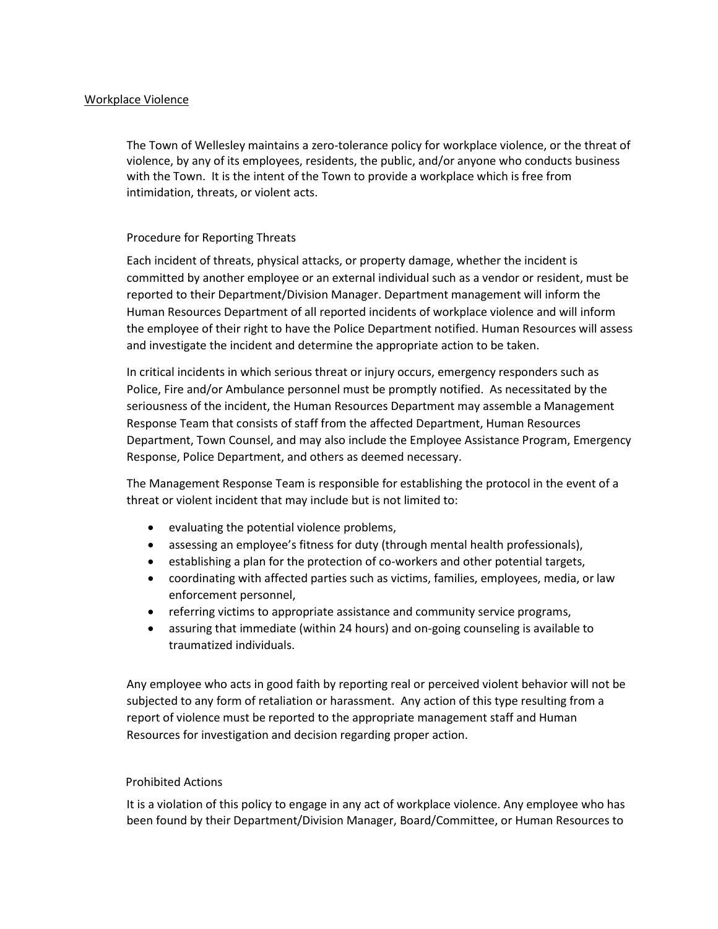## Workplace Violence

The Town of Wellesley maintains a zero-tolerance policy for workplace violence, or the threat of violence, by any of its employees, residents, the public, and/or anyone who conducts business with the Town. It is the intent of the Town to provide a workplace which is free from intimidation, threats, or violent acts.

## Procedure for Reporting Threats

Each incident of threats, physical attacks, or property damage, whether the incident is committed by another employee or an external individual such as a vendor or resident, must be reported to their Department/Division Manager. Department management will inform the Human Resources Department of all reported incidents of workplace violence and will inform the employee of their right to have the Police Department notified. Human Resources will assess and investigate the incident and determine the appropriate action to be taken.

In critical incidents in which serious threat or injury occurs, emergency responders such as Police, Fire and/or Ambulance personnel must be promptly notified. As necessitated by the seriousness of the incident, the Human Resources Department may assemble a Management Response Team that consists of staff from the affected Department, Human Resources Department, Town Counsel, and may also include the Employee Assistance Program, Emergency Response, Police Department, and others as deemed necessary.

The Management Response Team is responsible for establishing the protocol in the event of a threat or violent incident that may include but is not limited to:

- evaluating the potential violence problems,
- assessing an employee's fitness for duty (through mental health professionals),
- establishing a plan for the protection of co-workers and other potential targets,
- coordinating with affected parties such as victims, families, employees, media, or law enforcement personnel,
- referring victims to appropriate assistance and community service programs,
- assuring that immediate (within 24 hours) and on-going counseling is available to traumatized individuals.

Any employee who acts in good faith by reporting real or perceived violent behavior will not be subjected to any form of retaliation or harassment. Any action of this type resulting from a report of violence must be reported to the appropriate management staff and Human Resources for investigation and decision regarding proper action.

## Prohibited Actions

It is a violation of this policy to engage in any act of workplace violence. Any employee who has been found by their Department/Division Manager, Board/Committee, or Human Resources to